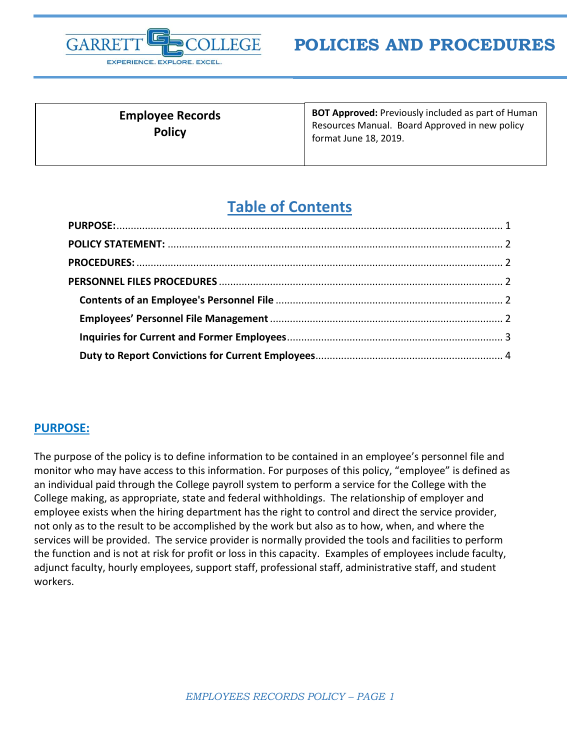

**Employee Records Policy** 

**BOT Approved:** Previously included as part of Human Resources Manual. Board Approved in new policy format June 18, 2019.

# **Table of Contents**

#### <span id="page-0-0"></span>**PURPOSE:**

The purpose of the policy is to define information to be contained in an employee's personnel file and monitor who may have access to this information. For purposes of this policy, "employee" is defined as an individual paid through the College payroll system to perform a service for the College with the College making, as appropriate, state and federal withholdings. The relationship of employer and employee exists when the hiring department has the right to control and direct the service provider, not only as to the result to be accomplished by the work but also as to how, when, and where the services will be provided. The service provider is normally provided the tools and facilities to perform the function and is not at risk for profit or loss in this capacity. Examples of employees include faculty, adjunct faculty, hourly employees, support staff, professional staff, administrative staff, and student workers.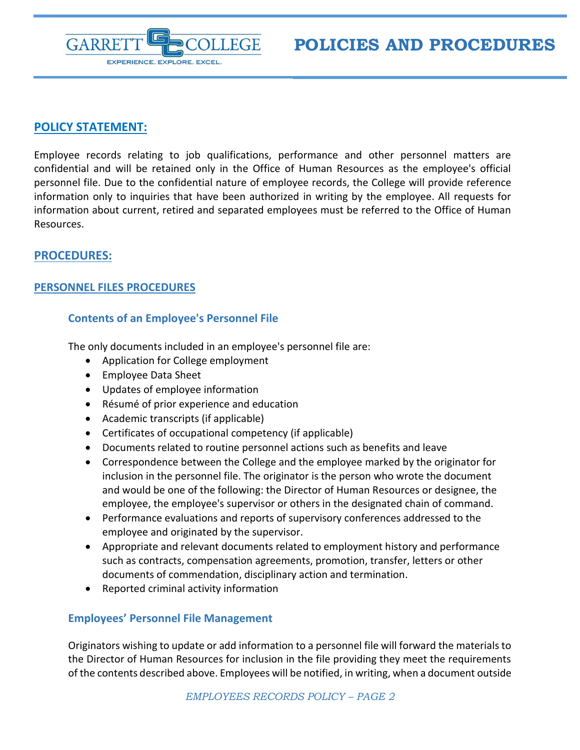

## <span id="page-1-0"></span>**POLICY STATEMENT:**

Employee records relating to job qualifications, performance and other personnel matters are confidential and will be retained only in the Office of Human Resources as the employee's official personnel file. Due to the confidential nature of employee records, the College will provide reference information only to inquiries that have been authorized in writing by the employee. All requests for information about current, retired and separated employees must be referred to the Office of Human Resources.

## <span id="page-1-1"></span>**PROCEDURES:**

#### <span id="page-1-2"></span>**PERSONNEL FILES PROCEDURES**

#### <span id="page-1-3"></span>**Contents of an Employee's Personnel File**

The only documents included in an employee's personnel file are:

- Application for College employment
- Employee Data Sheet
- Updates of employee information
- Résumé of prior experience and education
- Academic transcripts (if applicable)
- Certificates of occupational competency (if applicable)
- Documents related to routine personnel actions such as benefits and leave
- Correspondence between the College and the employee marked by the originator for inclusion in the personnel file. The originator is the person who wrote the document and would be one of the following: the Director of Human Resources or designee, the employee, the employee's supervisor or others in the designated chain of command.
- Performance evaluations and reports of supervisory conferences addressed to the employee and originated by the supervisor.
- Appropriate and relevant documents related to employment history and performance such as contracts, compensation agreements, promotion, transfer, letters or other documents of commendation, disciplinary action and termination.
- Reported criminal activity information

#### <span id="page-1-4"></span>**Employees' Personnel File Management**

Originators wishing to update or add information to a personnel file will forward the materials to the Director of Human Resources for inclusion in the file providing they meet the requirements of the contents described above. Employees will be notified, in writing, when a document outside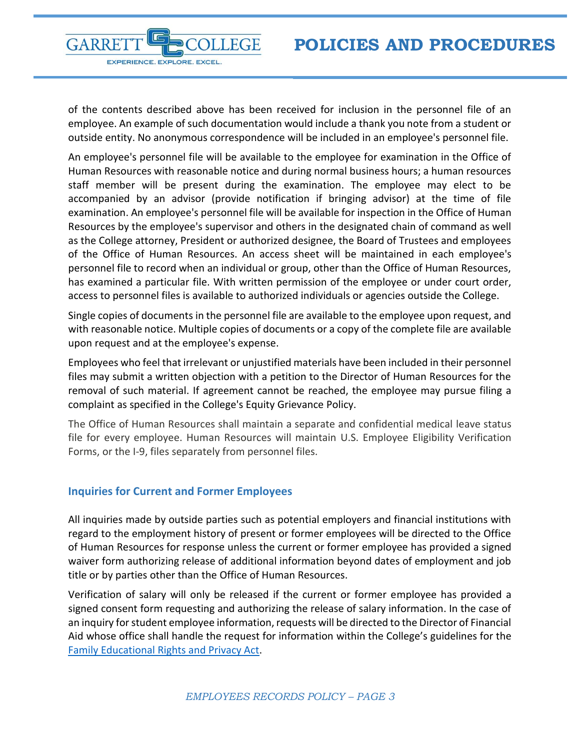

of the contents described above has been received for inclusion in the personnel file of an employee. An example of such documentation would include a thank you note from a student or outside entity. No anonymous correspondence will be included in an employee's personnel file.

An employee's personnel file will be available to the employee for examination in the Office of Human Resources with reasonable notice and during normal business hours; a human resources staff member will be present during the examination. The employee may elect to be accompanied by an advisor (provide notification if bringing advisor) at the time of file examination. An employee's personnel file will be available for inspection in the Office of Human Resources by the employee's supervisor and others in the designated chain of command as well as the College attorney, President or authorized designee, the Board of Trustees and employees of the Office of Human Resources. An access sheet will be maintained in each employee's personnel file to record when an individual or group, other than the Office of Human Resources, has examined a particular file. With written permission of the employee or under court order, access to personnel files is available to authorized individuals or agencies outside the College.

Single copies of documents in the personnel file are available to the employee upon request, and with reasonable notice. Multiple copies of documents or a copy of the complete file are available upon request and at the employee's expense.

Employees who feel that irrelevant or unjustified materials have been included in their personnel files may submit a written objection with a petition to the Director of Human Resources for the removal of such material. If agreement cannot be reached, the employee may pursue filing a complaint as specified in the College's Equity Grievance Policy.

The Office of Human Resources shall maintain a separate and confidential medical leave status file for every employee. Human Resources will maintain U.S. Employee Eligibility Verification Forms, or the I-9, files separately from personnel files.

#### <span id="page-2-0"></span>**Inquiries for Current and Former Employees**

All inquiries made by outside parties such as potential employers and financial institutions with regard to the employment history of present or former employees will be directed to the Office of Human Resources for response unless the current or former employee has provided a signed waiver form authorizing release of additional information beyond dates of employment and job title or by parties other than the Office of Human Resources.

Verification of salary will only be released if the current or former employee has provided a signed consent form requesting and authorizing the release of salary information. In the case of an inquiry for student employee information, requests will be directed to the Director of Financial Aid whose office shall handle the request for information within the College's guidelines for the [Family Educational Rights and Privacy Act.](https://my.garrettcollege.edu/ICS/icsfs/FERPA_Policy_approved_by_board_2_19_2019.pdf?target=31a36555-58af-4fe7-b9b4-48e4ab6e5567)